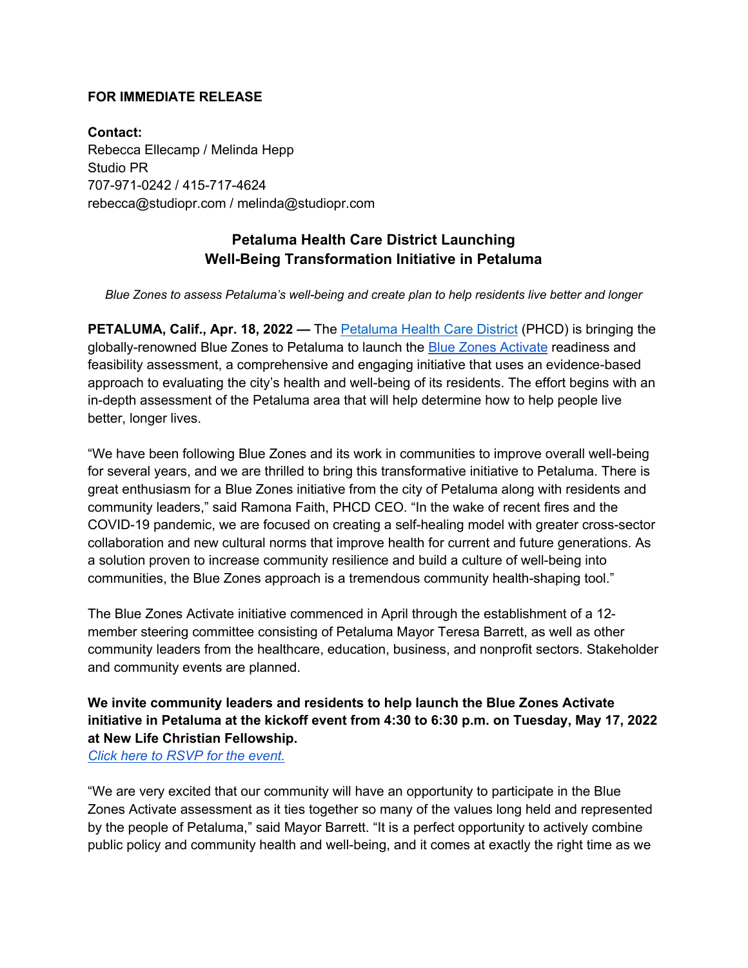#### **FOR IMMEDIATE RELEASE**

**Contact:** Rebecca Ellecamp / Melinda Hepp Studio PR 707-971-0242 / 415-717-4624 rebecca@studiopr.com / melinda@studiopr.com

# **Petaluma Health Care District Launching Well-Being Transformation Initiative in Petaluma**

*Blue Zones to assess Petaluma's well-being and create plan to help residents live better and longer*

**PETALUMA, Calif., Apr. 18, 2022 —** The Petaluma Health Care District (PHCD) is bringing the globally-renowned Blue Zones to Petaluma to launch the Blue Zones Activate readiness and feasibility assessment, a comprehensive and engaging initiative that uses an evidence-based approach to evaluating the city's health and well-being of its residents. The effort begins with an in-depth assessment of the Petaluma area that will help determine how to help people live better, longer lives.

"We have been following Blue Zones and its work in communities to improve overall well-being for several years, and we are thrilled to bring this transformative initiative to Petaluma. There is great enthusiasm for a Blue Zones initiative from the city of Petaluma along with residents and community leaders," said Ramona Faith, PHCD CEO. "In the wake of recent fires and the COVID-19 pandemic, we are focused on creating a self-healing model with greater cross-sector collaboration and new cultural norms that improve health for current and future generations. As a solution proven to increase community resilience and build a culture of well-being into communities, the Blue Zones approach is a tremendous community health-shaping tool."

The Blue Zones Activate initiative commenced in April through the establishment of a 12 member steering committee consisting of Petaluma Mayor Teresa Barrett, as well as other community leaders from the healthcare, education, business, and nonprofit sectors. Stakeholder and community events are planned.

## **We invite community leaders and residents to help launch the Blue Zones Activate initiative in Petaluma at the kickoff event from 4:30 to 6:30 p.m. on Tuesday, May 17, 2022 at New Life Christian Fellowship.**

*Click here to RSVP for the event.*

"We are very excited that our community will have an opportunity to participate in the Blue Zones Activate assessment as it ties together so many of the values long held and represented by the people of Petaluma," said Mayor Barrett. "It is a perfect opportunity to actively combine public policy and community health and well-being, and it comes at exactly the right time as we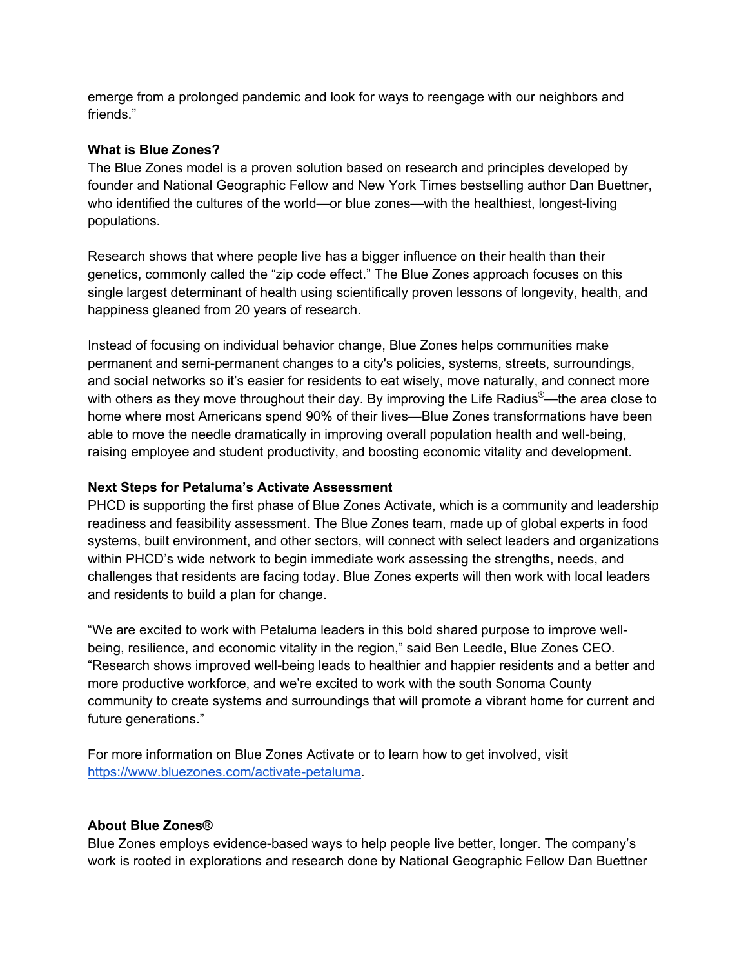emerge from a prolonged pandemic and look for ways to reengage with our neighbors and friends."

### **What is Blue Zones?**

The Blue Zones model is a proven solution based on research and principles developed by founder and National Geographic Fellow and New York Times bestselling author Dan Buettner, who identified the cultures of the world—or blue zones—with the healthiest, longest-living populations.

Research shows that where people live has a bigger influence on their health than their genetics, commonly called the "zip code effect." The Blue Zones approach focuses on this single largest determinant of health using scientifically proven lessons of longevity, health, and happiness gleaned from 20 years of research.

Instead of focusing on individual behavior change, Blue Zones helps communities make permanent and semi-permanent changes to a city's policies, systems, streets, surroundings, and social networks so it's easier for residents to eat wisely, move naturally, and connect more with others as they move throughout their day. By improving the Life Radius<sup>®</sup>—the area close to home where most Americans spend 90% of their lives—Blue Zones transformations have been able to move the needle dramatically in improving overall population health and well-being, raising employee and student productivity, and boosting economic vitality and development.

### **Next Steps for Petaluma's Activate Assessment**

PHCD is supporting the first phase of Blue Zones Activate, which is a community and leadership readiness and feasibility assessment. The Blue Zones team, made up of global experts in food systems, built environment, and other sectors, will connect with select leaders and organizations within PHCD's wide network to begin immediate work assessing the strengths, needs, and challenges that residents are facing today. Blue Zones experts will then work with local leaders and residents to build a plan for change.

"We are excited to work with Petaluma leaders in this bold shared purpose to improve wellbeing, resilience, and economic vitality in the region," said Ben Leedle, Blue Zones CEO. "Research shows improved well-being leads to healthier and happier residents and a better and more productive workforce, and we're excited to work with the south Sonoma County community to create systems and surroundings that will promote a vibrant home for current and future generations."

For more information on Blue Zones Activate or to learn how to get involved, visit https://www.bluezones.com/activate-petaluma.

## **About Blue Zones®**

Blue Zones employs evidence-based ways to help people live better, longer. The company's work is rooted in explorations and research done by National Geographic Fellow Dan Buettner